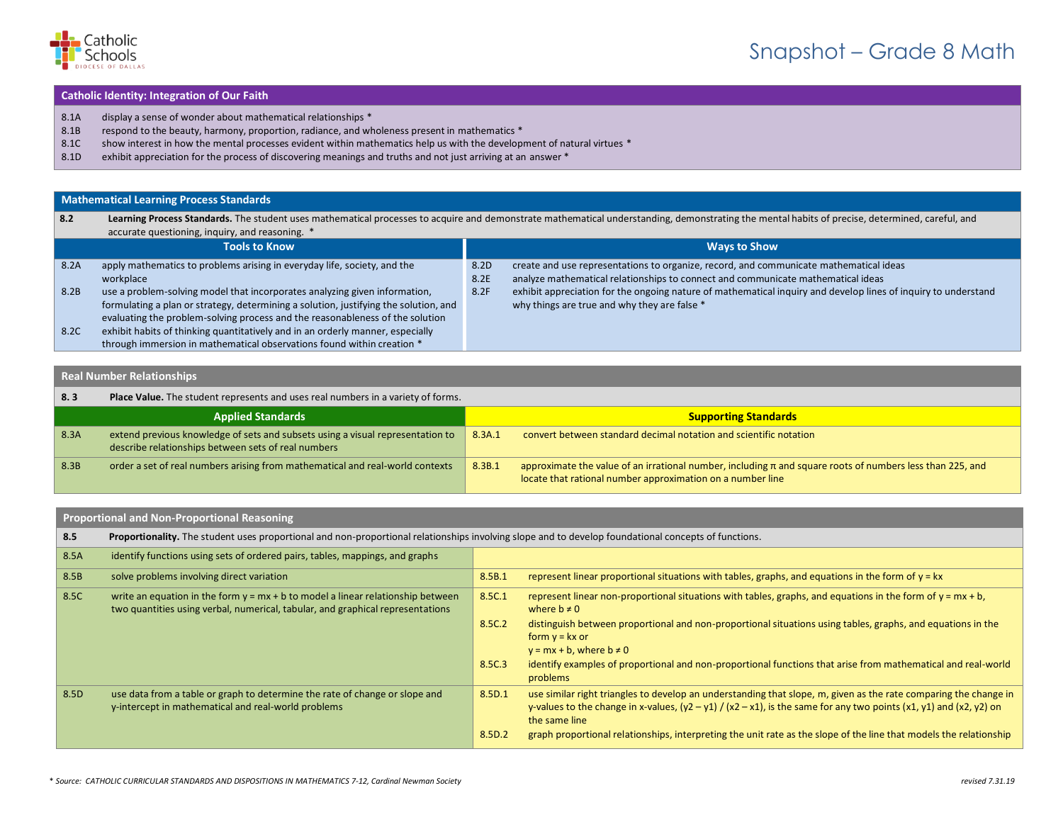

# Snapshot – Grade 8 Math

#### **Catholic Identity: Integration of Our Faith**

- 8.1A display a sense of wonder about mathematical relationships \*
- 8.1B respond to the beauty, harmony, proportion, radiance, and wholeness present in mathematics \*
- 8.1C show interest in how the mental processes evident within mathematics help us with the development of natural virtues \*
- 8.1D exhibit appreciation for the process of discovering meanings and truths and not just arriving at an answer \*

## **Mathematical Learning Process Standards**

| 8.2  | Learning Process Standards. The student uses mathematical processes to acquire and demonstrate mathematical understanding, demonstrating the mental habits of precise, determined, careful, and |      |                                                                                                                |
|------|-------------------------------------------------------------------------------------------------------------------------------------------------------------------------------------------------|------|----------------------------------------------------------------------------------------------------------------|
|      | accurate questioning, inquiry, and reasoning. *                                                                                                                                                 |      |                                                                                                                |
|      | <b>Tools to Know</b>                                                                                                                                                                            |      | <b>Ways to Show</b>                                                                                            |
| 8.2A | apply mathematics to problems arising in everyday life, society, and the                                                                                                                        | 8.2D | create and use representations to organize, record, and communicate mathematical ideas                         |
|      | workplace                                                                                                                                                                                       | 8.2E | analyze mathematical relationships to connect and communicate mathematical ideas                               |
| 8.2B | use a problem-solving model that incorporates analyzing given information,                                                                                                                      | 8.2F | exhibit appreciation for the ongoing nature of mathematical inquiry and develop lines of inquiry to understand |
|      | formulating a plan or strategy, determining a solution, justifying the solution, and                                                                                                            |      | why things are true and why they are false *                                                                   |
|      | evaluating the problem-solving process and the reasonableness of the solution                                                                                                                   |      |                                                                                                                |
| 8.2C | exhibit habits of thinking quantitatively and in an orderly manner, especially                                                                                                                  |      |                                                                                                                |
|      | through immersion in mathematical observations found within creation *                                                                                                                          |      |                                                                                                                |

## **Real Number Relationships**

| $\vert$ 8.3 | Place Value. The student represents and uses real numbers in a variety of forms.                                                      |        |                                                                                                                                                                             |
|-------------|---------------------------------------------------------------------------------------------------------------------------------------|--------|-----------------------------------------------------------------------------------------------------------------------------------------------------------------------------|
|             | <b>Applied Standards</b>                                                                                                              |        | <b>Supporting Standards</b>                                                                                                                                                 |
| 8.3A        | extend previous knowledge of sets and subsets using a visual representation to<br>describe relationships between sets of real numbers | 8.3A.1 | convert between standard decimal notation and scientific notation                                                                                                           |
| 8.3B        | order a set of real numbers arising from mathematical and real-world contexts                                                         | 8.3B.1 | approximate the value of an irrational number, including $\pi$ and square roots of numbers less than 225, and<br>locate that rational number approximation on a number line |

#### **Proportional and Non-Proportional Reasoning**

| 8.5  | Proportionality. The student uses proportional and non-proportional relationships involving slope and to develop foundational concepts of functions.                |        |                                                                                                                                                                                                                                                                |
|------|---------------------------------------------------------------------------------------------------------------------------------------------------------------------|--------|----------------------------------------------------------------------------------------------------------------------------------------------------------------------------------------------------------------------------------------------------------------|
| 8.5A | identify functions using sets of ordered pairs, tables, mappings, and graphs                                                                                        |        |                                                                                                                                                                                                                                                                |
| 8.5B | solve problems involving direct variation                                                                                                                           | 8.5B.1 | represent linear proportional situations with tables, graphs, and equations in the form of $y = kx$                                                                                                                                                            |
| 8.5C | write an equation in the form $y = mx + b$ to model a linear relationship between<br>two quantities using verbal, numerical, tabular, and graphical representations | 8.5C.1 | represent linear non-proportional situations with tables, graphs, and equations in the form of $y = mx + b$ ,<br>where $b \neq 0$                                                                                                                              |
|      |                                                                                                                                                                     | 8.5C.2 | distinguish between proportional and non-proportional situations using tables, graphs, and equations in the<br>form $y = kx$ or<br>$y = mx + b$ , where $b \ne 0$                                                                                              |
|      |                                                                                                                                                                     | 8.5C.3 | identify examples of proportional and non-proportional functions that arise from mathematical and real-world<br>problems                                                                                                                                       |
| 8.5D | use data from a table or graph to determine the rate of change or slope and<br>y-intercept in mathematical and real-world problems                                  | 8.5D.1 | use similar right triangles to develop an understanding that slope, m, given as the rate comparing the change in<br>y-values to the change in x-values, $(y2 - y1) / (x2 - x1)$ , is the same for any two points $(x1, y1)$ and $(x2, y2)$ on<br>the same line |
|      |                                                                                                                                                                     | 8.5D.2 | graph proportional relationships, interpreting the unit rate as the slope of the line that models the relationship                                                                                                                                             |